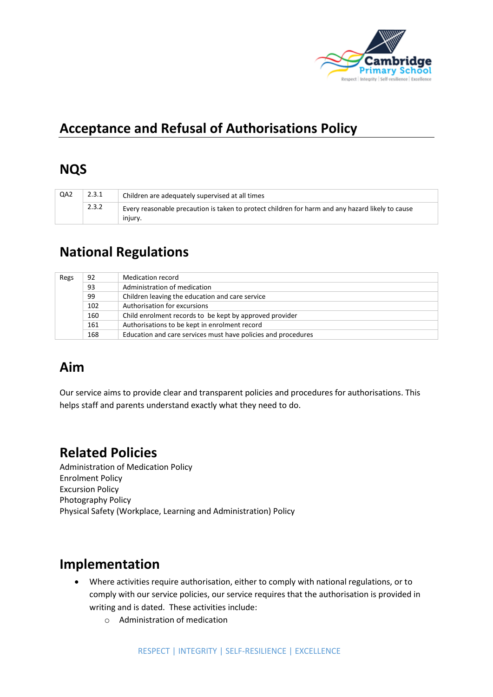

# **Acceptance and Refusal of Authorisations Policy**

#### **NQS**

| QA2 | 2.3.1 | Children are adequately supervised at all times                                                             |  |
|-----|-------|-------------------------------------------------------------------------------------------------------------|--|
|     | 2.3.2 | Every reasonable precaution is taken to protect children for harm and any hazard likely to cause<br>iniurv. |  |

## **National Regulations**

| Regs | 92  | Medication record                                             |
|------|-----|---------------------------------------------------------------|
|      | 93  | Administration of medication                                  |
|      | 99  | Children leaving the education and care service               |
|      | 102 | Authorisation for excursions                                  |
|      | 160 | Child enrolment records to be kept by approved provider       |
|      | 161 | Authorisations to be kept in enrolment record                 |
|      | 168 | Education and care services must have policies and procedures |

### **Aim**

Our service aims to provide clear and transparent policies and procedures for authorisations. This helps staff and parents understand exactly what they need to do.

### **Related Policies**

Administration of Medication Policy Enrolment Policy Excursion Policy Photography Policy Physical Safety (Workplace, Learning and Administration) Policy

### **Implementation**

- Where activities require authorisation, either to comply with national regulations, or to comply with our service policies, our service requires that the authorisation is provided in writing and is dated. These activities include:
	- o Administration of medication